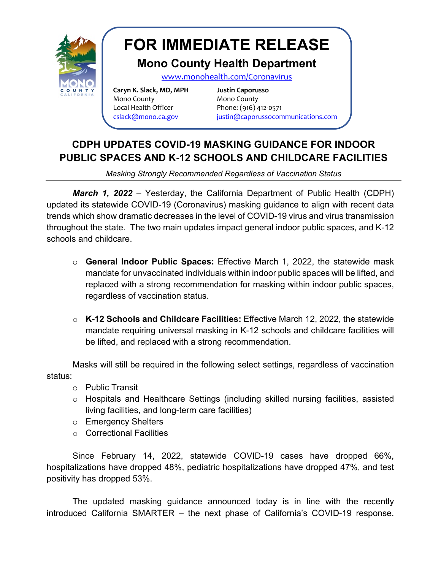

## **FOR IMMEDIATE RELEASE**

## **Mono County Health Department**

www.monohealth.com/Coronavirus

**Caryn K. Slack, MD, MPH Justin Caporusso** Mono County **Mono** County Local Health Officer Phone: (916) 412-0571

cslack@mono.ca.gov justin@caporussocommunications.com

## **CDPH UPDATES COVID-19 MASKING GUIDANCE FOR INDOOR PUBLIC SPACES AND K-12 SCHOOLS AND CHILDCARE FACILITIES**

*Masking Strongly Recommended Regardless of Vaccination Status*

*March 1, 2022* – Yesterday, the California Department of Public Health (CDPH) updated its statewide COVID-19 (Coronavirus) masking guidance to align with recent data trends which show dramatic decreases in the level of COVID-19 virus and virus transmission throughout the state. The two main updates impact general indoor public spaces, and K-12 schools and childcare.

- o **General Indoor Public Spaces:** Effective March 1, 2022, the statewide mask mandate for unvaccinated individuals within indoor public spaces will be lifted, and replaced with a strong recommendation for masking within indoor public spaces, regardless of vaccination status.
- o **K-12 Schools and Childcare Facilities:** Effective March 12, 2022, the statewide mandate requiring universal masking in K-12 schools and childcare facilities will be lifted, and replaced with a strong recommendation.

Masks will still be required in the following select settings, regardless of vaccination status:

- o Public Transit
- o Hospitals and Healthcare Settings (including skilled nursing facilities, assisted living facilities, and long-term care facilities)
- o Emergency Shelters
- o Correctional Facilities

Since February 14, 2022, statewide COVID-19 cases have dropped 66%, hospitalizations have dropped 48%, pediatric hospitalizations have dropped 47%, and test positivity has dropped 53%.

The updated masking guidance announced today is in line with the recently introduced California SMARTER – the next phase of California's COVID-19 response.